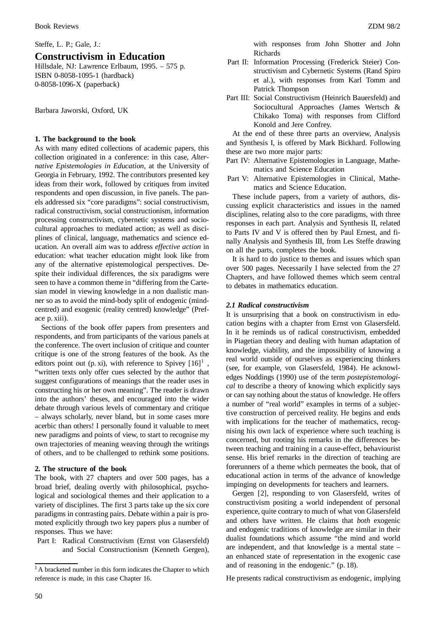Steffe, L. P.; Gale, J.:

# **Constructivism in Education**

Hillsdale, NJ: Lawrence Erlbaum, 1995. – 575 p. ISBN 0-8058-1095-1 (hardback) 0-8058-1096-X (paperback)

Barbara Jaworski, Oxford, UK

### **1. The background to the book**

As with many edited collections of academic papers, this collection originated in a conference: in this case, *Alternative Epistemologies in Education,* at the University of Georgia in February, 1992. The contributors presented key ideas from their work, followed by critiques from invited respondents and open discussion, in five panels. The panels addressed six "core paradigms": social constructivism, radical constructivism, social constructionism, information processing constructivism, cybernetic systems and sociocultural approaches to mediated action; as well as disciplines of clinical, language, mathematics and science education. An overall aim was to address *effective action* in education: what teacher education might look like from any of the alternative epistemological perspectives. Despite their individual differences, the six paradigms were seen to have a common theme in "differing from the Cartesian model in viewing knowledge in a non dualistic manner so as to avoid the mind-body split of endogenic (mindcentred) and exogenic (reality centred) knowledge" (Preface p. xiii).

Sections of the book offer papers from presenters and respondents, and from participants of the various panels at the conference. The overt inclusion of critique and counter critique is one of the strong features of the book. As the editors point out (p. xi), with reference to Spivey  $[16]$ <sup>1</sup>, "written texts only offer cues selected by the author that suggest configurations of meanings that the reader uses in constructing his or her own meaning". The reader is drawn into the authors' theses, and encouraged into the wider debate through various levels of commentary and critique – always scholarly, never bland, but in some cases more acerbic than others! I personally found it valuable to meet new paradigms and points of view, to start to recognise my own trajectories of meaning weaving through the writings of others, and to be challenged to rethink some positions.

#### **2. The structure of the book**

The book, with 27 chapters and over 500 pages, has a broad brief, dealing overtly with philosophical, psychological and sociological themes and their application to a variety of disciplines. The first 3 parts take up the six core paradigms in contrasting pairs. Debate within a pair is promoted explicitly through two key papers plus a number of responses. Thus we have:

Part I: Radical Constructivism (Ernst von Glasersfeld) and Social Constructionism (Kenneth Gergen),

with responses from John Shotter and John Richards

- Part II: Information Processing (Frederick Steier) Constructivism and Cybernetic Systems (Rand Spiro et al.), with responses from Karl Tomm and Patrick Thompson
- Part III: Social Constructivism (Heinrich Bauersfeld) and Sociocultural Approaches (James Wertsch & Chikako Toma) with responses from Clifford Konold and Jere Confrey.

At the end of these three parts an overview, Analysis and Synthesis I, is offered by Mark Bickhard. Following these are two more major parts:

- Part IV: Alternative Epistemologies in Language, Mathematics and Science Education
- Part V: Alternative Epistemologies in Clinical, Mathematics and Science Education.

These include papers, from a variety of authors, discussing explicit characteristics and issues in the named disciplines, relating also to the core paradigms, with three responses in each part. Analysis and Synthesis II, related to Parts IV and V is offered then by Paul Ernest, and finally Analysis and Synthesis III, from Les Steffe drawing on all the parts, completes the book.

It is hard to do justice to themes and issues which span over 500 pages. Necessarily I have selected from the 27 Chapters, and have followed themes which seem central to debates in mathematics education.

### *2.1 Radical constructivism*

It is unsurprising that a book on constructivism in education begins with a chapter from Ernst von Glasersfeld. In it he reminds us of radical constructivism, embedded in Piagetian theory and dealing with human adaptation of knowledge, viability, and the impossibility of knowing a real world outside of ourselves as experiencing thinkers (see, for example, von Glasersfeld, 1984). He acknowledges Noddings (1990) use of the term *postepistemological* to describe a theory of knowing which explicitly says or can say nothing about the status of knowledge. He offers a number of "real world" examples in terms of a subjective construction of perceived reality. He begins and ends with implications for the teacher of mathematics, recognising his own lack of experience where such teaching is concerned, but rooting his remarks in the differences between teaching and training in a cause-effect, behaviourist sense. His brief remarks in the direction of teaching are forerunners of a theme which permeates the book, that of educational action in terms of the advance of knowledge impinging on developments for teachers and learners.

Gergen [2], responding to von Glasersfeld, writes of constructivism positing a world independent of personal experience, quite contrary to much of what von Glasersfeld and others have written. He claims that *both* exogenic and endogenic traditions of knowledge are similar in their dualist foundations which assume "the mind and world are independent, and that knowledge is a mental state – an enhanced state of representation in the exogenic case and of reasoning in the endogenic." (p. 18).

He presents radical constructivism as endogenic, implying

 $<sup>1</sup>A$  bracketed number in this form indicates the Chapter to which</sup> reference is made, in this case Chapter 16.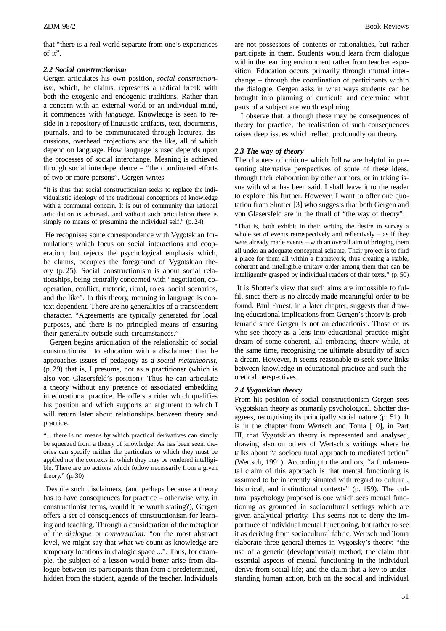that "there is a real world separate from one's experiences of it".

# *2.2 Social constructionism*

Gergen articulates his own position, *social constructionism,* which, he claims, represents a radical break with both the exogenic and endogenic traditions. Rather than a concern with an external world or an individual mind, it commences with *language.* Knowledge is seen to reside in a repository of linguistic artifacts, text, documents, journals, and to be communicated through lectures, discussions, overhead projections and the like, all of which depend on language. How language is used depends upon the processes of social interchange. Meaning is achieved through social interdependence – "the coordinated efforts of two or more persons". Gergen writes

"It is thus that social constructionism seeks to replace the individualistic ideology of the traditional conceptions of knowledge with a communal concern. It is out of community that rational articulation is achieved, and without such articulation there is simply no means of presuming the individual self." (p. 24)

He recognises some correspondence with Vygotskian formulations which focus on social interactions and cooperation, but rejects the psychological emphasis which, he claims, occupies the foreground of Vygotskian theory (p. 25). Social constructionism is about social relationships, being centrally concerned with "negotiation, cooperation, conflict, rhetoric, ritual, roles, social scenarios, and the like". In this theory, meaning in language is context dependent. There are no generalities of a transcendent character. "Agreements are typically generated for local purposes, and there is no principled means of ensuring their generality outside such circumstances."

Gergen begins articulation of the relationship of social constructionism to education with a disclaimer: that he approaches issues of pedagogy as a *social metatheorist,* (p. 29) that is, I presume, not as a practitioner (which is also von Glasersfeld's position). Thus he can articulate a theory without any pretence of associated embedding in educational practice. He offers a rider which qualifies his position and which supports an argument to which I will return later about relationships between theory and practice.

"... there is no means by which practical derivatives can simply be squeezed from a theory of knowledge. As has been seen, theories can specify neither the particulars to which they must be applied nor the contexts in which they may be rendered intelligible. There are no actions which follow necessarily from a given theory." (p. 30)

Despite such disclaimers, (and perhaps because a theory has to have consequences for practice – otherwise why, in constructionist terms, would it be worth stating?), Gergen offers a set of consequences of constructionism for learning and teaching. Through a consideration of the metaphor of the *dialogue* or *conversation:* "on the most abstract level, we might say that what we count as knowledge are temporary locations in dialogic space ...". Thus, for example, the subject of a lesson would better arise from dialogue between its participants than from a predetermined, hidden from the student, agenda of the teacher. Individuals are not possessors of contents or rationalities, but rather participate in them. Students would learn from dialogue within the learning environment rather from teacher exposition. Education occurs primarily through mutual interchange – through the coordination of participants within the dialogue. Gergen asks in what ways students can be brought into planning of curricula and determine what parts of a subject are worth exploring.

I observe that, although these may be consequences of theory for practice, the realisation of such consequences raises deep issues which reflect profoundly on theory.

# *2.3 The way of theory*

The chapters of critique which follow are helpful in presenting alternative perspectives of some of these ideas, through their elaboration by other authors, or in taking issue with what has been said. I shall leave it to the reader to explore this further. However, I want to offer one quotation from Shotter [3] who suggests that both Gergen and von Glasersfeld are in the thrall of "the way of theory":

"That is, both exhibit in their writing the desire to survey a whole set of events retrospectively and reflectively – as if they were already made events – with an overall aim of bringing them all under an adequate conceptual scheme. Their project is to find a place for them all within a framework, thus creating a stable, coherent and intelligible unitary order among them that can be intelligently grasped by individual readers of their texts." (p. 50)

It is Shotter's view that such aims are impossible to fulfil, since there is no already made meaningful order to be found. Paul Ernest, in a later chapter, suggests that drawing educational implications from Gergen's theory is problematic since Gergen is not an educationist. Those of us who see theory as a lens into educational practice might dream of some coherent, all embracing theory while, at the same time, recognising the ultimate absurdity of such a dream. However, it seems reasonable to seek *some* links between knowledge in educational practice and such theoretical perspectives.

# *2.4 Vygotskian theory*

From his position of social constructionism Gergen sees Vygotskian theory as primarily psychological. Shotter disagrees, recognising its principally social nature (p. 51). It is in the chapter from Wertsch and Toma [10], in Part III, that Vygotskian theory is represented and analysed, drawing also on others of Wertsch's writings where he talks about "a sociocultural approach to mediated action" (Wertsch, 1991). According to the authors, "a fundamental claim of this approach is that mental functioning is assumed to be inherently situated with regard to cultural, historical, and institutional contexts" (p. 159). The cultural psychology proposed is one which sees mental functioning as grounded in sociocultural settings which are given analytical priority. This seems not to deny the importance of individual mental functioning, but rather to see it as deriving from sociocultural fabric. Wertsch and Toma elaborate three general themes in Vygotsky's theory: "the use of a genetic (developmental) method; the claim that essential aspects of mental functioning in the individual derive from social life; and the claim that a key to understanding human action, both on the social and individual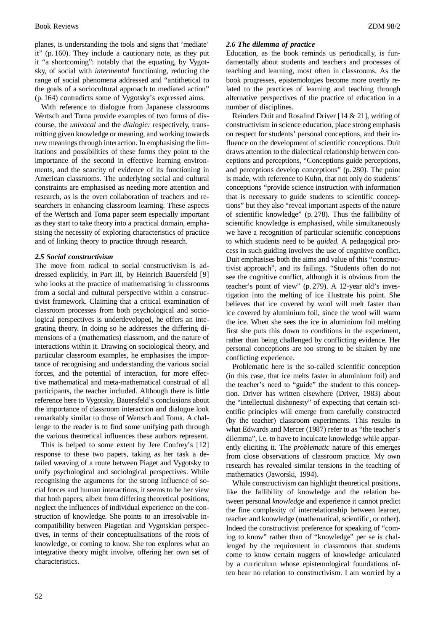planes, is understanding the tools and signs that 'mediate' it" (p. 160). They include a cautionary note, as they put it "a shortcoming": notably that the equating, by Vygotsky, of social with *intermental* functioning, reducing the range of social phenomena addressed and "antithetical to the goals of a sociocultural approach to mediated action" (p. 164) contradicts some of Vygotsky's expressed aims.

With reference to dialogue from Japanese classrooms Wertsch and Toma provide examples of two forms of discourse, the *univocal* and the *dialogic:* respectively, transmitting given knowledge or meaning, and working towards new meanings through interaction. In emphasising the limitations and possibilities of these forms they point to the importance of the second in effective learning environments, and the scarcity of evidence of its functioning in American classrooms. The underlying social and cultural constraints are emphasised as needing more attention and research, as is the overt collaboration of teachers and researchers in enhancing classroom learning. These aspects of the Wertsch and Toma paper seem especially important as they start to take theory into a practical domain, emphasising the necessity of exploring characteristics of practice and of linking theory to practice through research.

### *2.5 Social constructivism*

The move from radical to social constructivism is addressed explicitly, in Part III, by Heinrich Bauersfeld [9] who looks at the practice of mathematising in classrooms from a social and cultural perspective within a constructivist framework. Claiming that a critical examination of classroom processes from both psychological and sociological perspectives is underdeveloped, he offers an integrating theory. In doing so he addresses the differing dimensions of a (mathematics) classroom, and the nature of interactions within it. Drawing on sociological theory, and particular classroom examples, he emphasises the importance of recognising and understanding the various social forces, and the potential of interaction, for more effective mathematical and meta-mathematical construal of all participants, the teacher included. Although there is little reference here to Vygotsky, Bauersfeld's conclusions about the importance of classroom interaction and dialogue look remarkably similar to those of Wertsch and Toma. A challenge to the reader is to find some unifying path through the various theoretical influences these authors represent.

This is helped to some extent by Jere Confrey's [12] response to these two papers, taking as her task a detailed weaving of a route between Piaget and Vygotsky to unify psychological and sociological perspectives. While recognising the arguments for the strong influence of social forces and human interactions, it seems to be her view that both papers, albeit from differing theoretical positions, neglect the influences of individual experience on the construction of knowledge. She points to an irresolvable incompatibility between Piagetian and Vygotskian perspectives, in terms of their conceptualisations of the roots of knowledge, or coming to know. She too explores what an integrative theory might involve, offering her own set of characteristics.

### *2.6 The dilemma of practice*

Education, as the book reminds us periodically, is fundamentally about students and teachers and processes of teaching and learning, most often in classrooms. As the book progresses, epistemologies become more overtly related to the practices of learning and teaching through alternative perspectives of the practice of education in a number of disciplines.

Reinders Duit and Rosalind Driver [14 & 21], writing of constructivism in science education, place strong emphasis on respect for students' personal conceptions, and their influence on the development of scientific conceptions. Duit draws attention to the dialectical relationship between conceptions and perceptions, "Conceptions guide perceptions, and perceptions develop conceptions" (p. 280). The point is made, with reference to Kuhn, that not only do students' conceptions "provide science instruction with information that is necessary to guide students to scientific conceptions" but they also "reveal important aspects of the nature of scientific knowledge" (p. 278). Thus the fallibility of scientific knowledge is emphasised, while simultaneously we have a recognition of particular scientific conceptions to which students need to be *guided.* A pedagogical process in such guiding involves the use of cognitive conflict. Duit emphasises both the aims and value of this "constructivist approach", and its failings. "Students often do not see the cognitive conflict, although it is obvious from the teacher's point of view" (p. 279). A 12-year old's investigation into the melting of ice illustrate his point. She believes that ice covered by wool will melt faster than ice covered by aluminium foil, since the wool will warm the ice. When she sees the ice in aluminium foil melting first she puts this down to conditions in the experiment, rather than being challenged by conflicting evidence. Her personal conceptions are too strong to be shaken by one conflicting experience.

Problematic here is the so-called scientific conception (in this case, that ice melts faster in aluminium foil) and the teacher's need to "guide" the student to this conception. Driver has written elsewhere (Driver, 1983) about the "intellectual dishonesty" of expecting that certain scientific principles will emerge from carefully constructed (by the teacher) classroom experiments. This results in what Edwards and Mercer (1987) refer to as "the teacher's dilemma", i.e. to have to inculcate knowledge while apparently eliciting it. The *problematic* nature of this emerges from close observations of classroom practice. My own research has revealed similar tensions in the teaching of mathematics (Jaworski, 1994).

While constructivism can highlight theoretical positions, like the fallibility of knowledge and the relation between personal *knowledge* and experience it cannot predict the fine complexity of interrelationship between learner, teacher and knowledge (mathematical, scientific, or other). Indeed the constructivist preference for speaking of "coming to know" rather than of "knowledge" per se is challenged by the requirement in classrooms that students come to know certain nuggets of knowledge articulated by a curriculum whose epistemological foundations often bear no relation to constructivism. I am worried by a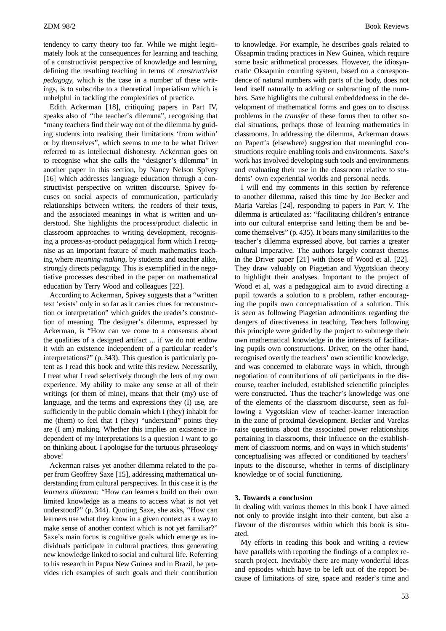tendency to carry theory too far. While we might legitimately look at the consequences for learning and teaching of a constructivist perspective of knowledge and learning, defining the resulting teaching in terms of *constructivist pedagogy,* which is the case in a number of these writings, is to subscribe to a theoretical imperialism which is unhelpful in tackling the complexities of practice.

Edith Ackerman [18], critiquing papers in Part IV, speaks also of "the teacher's dilemma", recognising that "many teachers find their way out of the dilemma by guiding students into realising their limitations 'from within' or by themselves", which seems to me to be what Driver referred to as intellectual dishonesty. Ackerman goes on to recognise what she calls the "designer's dilemma" in another paper in this section, by Nancy Nelson Spivey [16] which addresses language education through a constructivist perspective on written discourse. Spivey focuses on social aspects of communication, particularly relationships between writers, the readers of their texts, and the associated meanings in what is written and understood. She highlights the process/product dialectic in classroom approaches to writing development, recognising a process-as-product pedagogical form which I recognise as an important feature of much mathematics teaching where *meaning-making,* by students and teacher alike, strongly directs pedagogy. This is exemplified in the negotiative processes described in the paper on mathematical education by Terry Wood and colleagues [22].

According to Ackerman, Spivey suggests that a "written text 'exists' only in so far as it carries clues for reconstruction or interpretation" which guides the reader's construction of meaning. The designer's dilemma, expressed by Ackerman, is "How can we come to a consensus about the qualities of a designed artifact ... if we do not endow it with an existence independent of a particular reader's interpretations?" (p. 343). This question is particularly potent as I read this book and write this review. Necessarily, I treat what I read selectively through the lens of my own experience. My ability to make any sense at all of their writings (or them of mine), means that their (my) use of language, and the terms and expressions they (I) use, are sufficiently in the public domain which I (they) inhabit for me (them) to feel that I (they) "understand" points they are (I am) making. Whether this implies an existence independent of my interpretations is a question I want to go on thinking about. I apologise for the tortuous phraseology above!

Ackerman raises yet another dilemma related to the paper from Geoffrey Saxe [15], addressing mathematical understanding from cultural perspectives. In this case it is *the learners dilemma:* "How can learners build on their own limited knowledge as a means to access what is not yet understood?" (p. 344). Quoting Saxe, she asks, "How can learners use what they know in a given context as a way to make sense of another context which is not yet familiar?" Saxe's main focus is cognitive goals which emerge as individuals participate in cultural practices, thus generating new knowledge linked to social and cultural life. Referring to his research in Papua New Guinea and in Brazil, he provides rich examples of such goals and their contribution

to knowledge. For example, he describes goals related to Oksapmin trading practices in New Guinea, which require some basic arithmetical processes. However, the idiosyncratic Oksapmin counting system, based on a correspondence of natural numbers with parts of the body, does not lend itself naturally to adding or subtracting of the numbers. Saxe highlights the cultural embeddedness in the development of mathematical forms and goes on to discuss problems in the *transfer* of these forms then to other social situations, perhaps those of learning mathematics in classrooms. In addressing the dilemma, Ackerman draws on Papert's (elsewhere) suggestion that meaningful constructions require enabling tools and environments. Saxe's work has involved developing such tools and environments and evaluating their use in the classroom relative to students' own experiential worlds and personal needs.

I will end my comments in this section by reference to another dilemma, raised this time by Joe Becker and Maria Varelas [24], responding to papers in Part V. The dilemma is articulated as: "facilitating children's entrance into our cultural enterprise sand letting them be and become themselves" (p. 435). It bears many similarities to the teacher's dilemma expressed above, but carries a greater cultural imperative. The authors largely contrast themes in the Driver paper [21] with those of Wood et al. [22]. They draw valuably on Piagetian and Vygotskian theory to highlight their analyses. Important to the project of Wood et al, was a pedagogical aim to avoid directing a pupil towards a solution to a problem, rather encouraging the pupils own conceptualisation of a solution. This is seen as following Piagetian admonitions regarding the dangers of directiveness in teaching. Teachers following this principle were guided by the project to submerge their own mathematical knowledge in the interests of facilitating pupils own constructions. Driver, on the other hand, recognised overtly the teachers' own scientific knowledge, and was concerned to elaborate ways in which, through negotiation of contributions of *all* participants in the discourse, teacher included, established scienctific principles were constructed. Thus the teacher's knowledge was one of the elements of the classroom discourse, seen as following a Vygotskian view of teacher-learner interaction in the zone of proximal development. Becker and Varelas raise questions about the associated power relationships pertaining in classrooms, their influence on the establishment of classroom norms, and on ways in which students' conceptualising was affected or conditioned by teachers' inputs to the discourse, whether in terms of disciplinary knowledge or of social functioning.

#### **3. Towards a conclusion**

In dealing with various themes in this book I have aimed not only to provide insight into their content, but also a flavour of the discourses within which this book is situated.

My efforts in reading this book and writing a review have parallels with reporting the findings of a complex research project. Inevitably there are many wonderful ideas and episodes which have to be left out of the report because of limitations of size, space and reader's time and